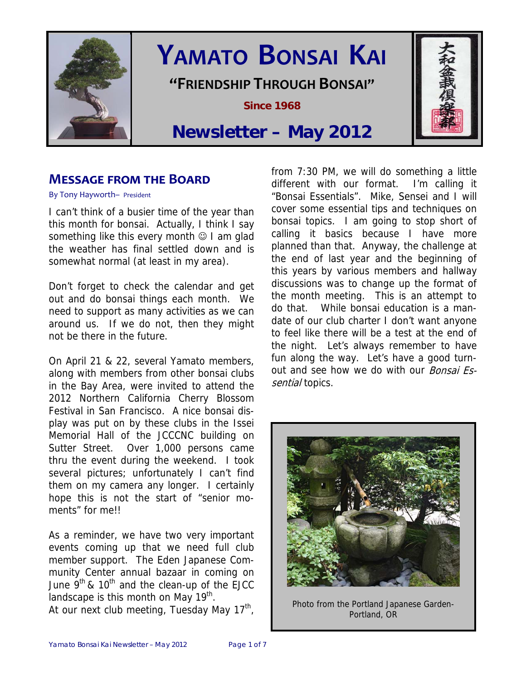

# **YAMATO BONSAI KAI**

**"FRIENDSHIP THROUGH BONSAI"**

**Since 1968** 

# **Newsletter – May 2012**

# **MESSAGE FROM THE BOARD**

By Tony Hayworth– President

I can't think of a busier time of the year than this month for bonsai. Actually, I think I say something like this every month  $\odot$  I am glad the weather has final settled down and is somewhat normal (at least in my area).

Don't forget to check the calendar and get out and do bonsai things each month. We need to support as many activities as we can around us. If we do not, then they might not be there in the future.

On April 21 & 22, several Yamato members, along with members from other bonsai clubs in the Bay Area, were invited to attend the 2012 Northern California Cherry Blossom Festival in San Francisco. A nice bonsai display was put on by these clubs in the Issei Memorial Hall of the JCCCNC building on Sutter Street. Over 1,000 persons came thru the event during the weekend. I took several pictures; unfortunately I can't find them on my camera any longer. I certainly hope this is not the start of "senior moments" for me!!

As a reminder, we have two very important events coming up that we need full club member support. The Eden Japanese Community Center annual bazaar in coming on June  $9^{th}$  & 10<sup>th</sup> and the clean-up of the EJCC landscape is this month on May  $19<sup>th</sup>$ . At our next club meeting, Tuesday May  $17<sup>th</sup>$ ,

from 7:30 PM, we will do something a little different with our format. I'm calling it "Bonsai Essentials". Mike, Sensei and I will cover some essential tips and techniques on bonsai topics. I am going to stop short of calling it basics because I have more planned than that. Anyway, the challenge at the end of last year and the beginning of this years by various members and hallway discussions was to change up the format of the month meeting. This is an attempt to do that. While bonsai education is a mandate of our club charter I don't want anyone to feel like there will be a test at the end of the night. Let's always remember to have fun along the way. Let's have a good turnout and see how we do with our Bonsai Essential topics.



Photo from the Portland Japanese Garden-Portland, OR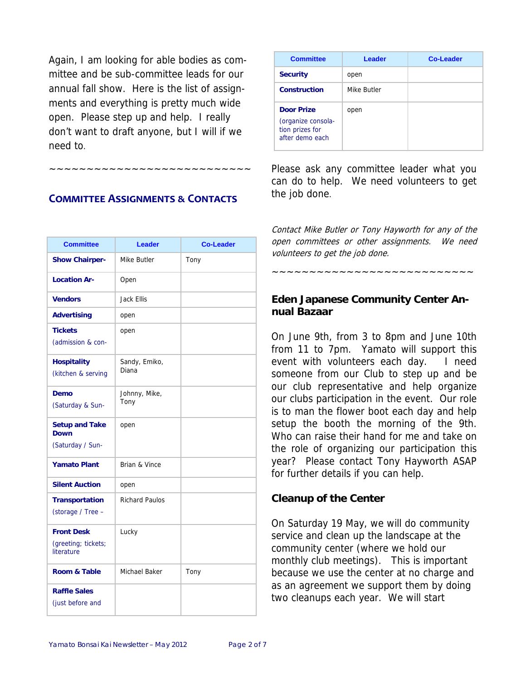Again, I am looking for able bodies as committee and be sub-committee leads for our annual fall show. Here is the list of assignments and everything is pretty much wide open. Please step up and help. I really don't want to draft anyone, but I will if we need to.

#### **COMMITTEE ASSIGNMENTS & CONTACTS**

~~~~~~~~~~~~~~~~~~~~~~~~~~~

| <b>Committee</b>                                       | <b>Leader</b>          | <b>Co-Leader</b> |
|--------------------------------------------------------|------------------------|------------------|
| <b>Show Chairper-</b>                                  | Mike Butler            | Tony             |
| <b>Location Ar-</b>                                    | Open                   |                  |
| <b>Vendors</b>                                         | Jack Ellis             |                  |
| <b>Advertising</b>                                     | open                   |                  |
| <b>Tickets</b><br>(admission & con-                    | open                   |                  |
| <b>Hospitality</b><br>(kitchen & serving               | Sandy, Emiko,<br>Diana |                  |
| Demo<br>(Saturday & Sun-                               | Johnny, Mike,<br>Tony  |                  |
| <b>Setup and Take</b><br>Down<br>(Saturday / Sun-      | open                   |                  |
| <b>Yamato Plant</b>                                    | Brian & Vince          |                  |
| <b>Silent Auction</b>                                  | open                   |                  |
| <b>Transportation</b><br>(storage / Tree -             | <b>Richard Paulos</b>  |                  |
| <b>Front Desk</b><br>(greeting; tickets;<br>literature | Lucky                  |                  |
| Room & Table                                           | Michael Baker          | Tony             |
| <b>Raffle Sales</b><br>(just before and                |                        |                  |

| <b>Committee</b>                                                              | Leader      | <b>Co-Leader</b> |
|-------------------------------------------------------------------------------|-------------|------------------|
| <b>Security</b>                                                               | open        |                  |
| <b>Construction</b>                                                           | Mike Butler |                  |
| <b>Door Prize</b><br>(organize consola-<br>tion prizes for<br>after demo each | open        |                  |

Please ask any committee leader what you can do to help. We need volunteers to get the job done.

Contact Mike Butler or Tony Hayworth for any of the open committees or other assignments. We need volunteers to get the job done.

~~~~~~~~~~~~~~~~~~~~~~~~~~~

#### **Eden Japanese Community Center Annual Bazaar**

On June 9th, from 3 to 8pm and June 10th from 11 to 7pm. Yamato will support this event with volunteers each day. I need someone from our Club to step up and be our club representative and help organize our clubs participation in the event. Our role is to man the flower boot each day and help setup the booth the morning of the 9th. Who can raise their hand for me and take on the role of organizing our participation this year? Please contact Tony Hayworth ASAP for further details if you can help.

#### **Cleanup of the Center**

On Saturday 19 May, we will do community service and clean up the landscape at the community center (where we hold our monthly club meetings). This is important because we use the center at no charge and as an agreement we support them by doing two cleanups each year. We will start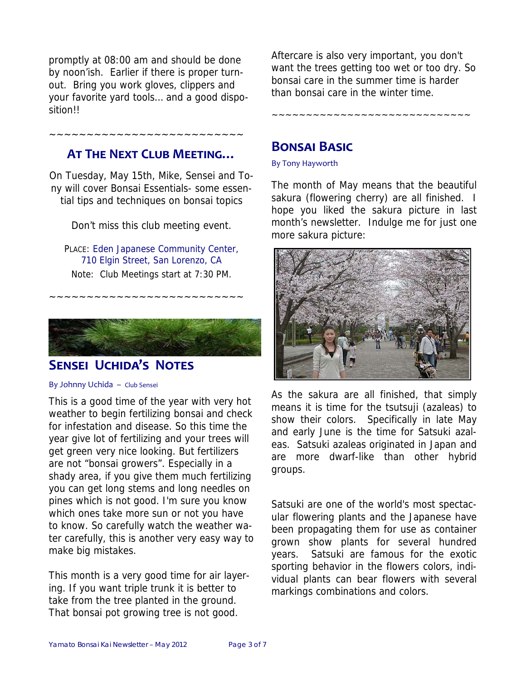promptly at 08:00 am and should be done by noon'ish. Earlier if there is proper turnout. Bring you work gloves, clippers and your favorite yard tools… and a good disposition!!

# **AT THE NEXT CLUB MEETING…**

~~~~~~~~~~~~~~~~~~~~~~~~~~

On Tuesday, May 15th, Mike, Sensei and Tony will cover Bonsai Essentials- some essential tips and techniques on bonsai topics

Don't miss this club meeting event.

PLACE: Eden Japanese Community Center, 710 Elgin Street, San Lorenzo, CA Note: Club Meetings start at 7:30 PM.

~~~~~~~~~~~~~~~~~~~~~~~~~~



# **SENSEI UCHIDA'S NOTES**

#### By Johnny Uchida – Club Sensei

This is a good time of the year with very hot weather to begin fertilizing bonsai and check for infestation and disease. So this time the year give lot of fertilizing and your trees will get green very nice looking. But fertilizers are not "bonsai growers". Especially in a shady area, if you give them much fertilizing you can get long stems and long needles on pines which is not good. I'm sure you know which ones take more sun or not you have to know. So carefully watch the weather water carefully, this is another very easy way to make big mistakes.

This month is a very good time for air layering. If you want triple trunk it is better to take from the tree planted in the ground. That bonsai pot growing tree is not good.

Aftercare is also very important, you don't want the trees getting too wet or too dry. So bonsai care in the summer time is harder than bonsai care in the winter time.

~~~~~~~~~~~~~~~~~~~~~~~~~~~~~

# **BONSAI BASIC**

#### By Tony Hayworth

The month of May means that the beautiful sakura (flowering cherry) are all finished. I hope you liked the sakura picture in last month's newsletter. Indulge me for just one more sakura picture:



As the sakura are all finished, that simply means it is time for the tsutsuji (azaleas) to show their colors. Specifically in late May and early June is the time for Satsuki azaleas. Satsuki azaleas originated in Japan and are more dwarf-like than other hybrid groups.

Satsuki are one of the world's most spectacular flowering plants and the Japanese have been propagating them for use as container grown show plants for several hundred years. Satsuki are famous for the exotic sporting behavior in the flowers colors, individual plants can bear flowers with several markings combinations and colors.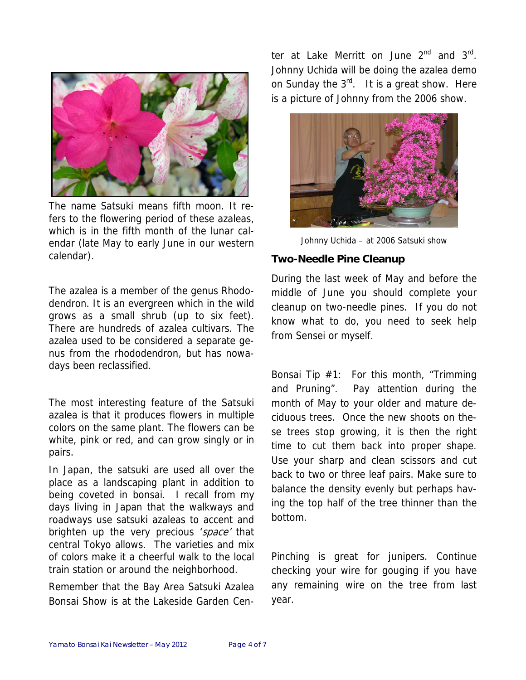

The name Satsuki means fifth moon. It refers to the flowering period of these azaleas, which is in the fifth month of the lunar calendar (late May to early June in our western calendar).

The azalea is a member of the genus Rhododendron. It is an evergreen which in the wild grows as a small shrub (up to six feet). There are hundreds of azalea cultivars. The azalea used to be considered a separate genus from the rhododendron, but has nowadays been reclassified.

The most interesting feature of the Satsuki azalea is that it produces flowers in multiple colors on the same plant. The flowers can be white, pink or red, and can grow singly or in pairs.

In Japan, the satsuki are used all over the place as a landscaping plant in addition to being coveted in bonsai. I recall from my days living in Japan that the walkways and roadways use satsuki azaleas to accent and brighten up the very precious 'space' that central Tokyo allows. The varieties and mix of colors make it a cheerful walk to the local train station or around the neighborhood.

Remember that the Bay Area Satsuki Azalea Bonsai Show is at the Lakeside Garden Center at Lake Merritt on June  $2^{nd}$  and  $3^{rd}$ . Johnny Uchida will be doing the azalea demo on Sunday the  $3^{rd}$ . It is a great show. Here is a picture of Johnny from the 2006 show.



Johnny Uchida – at 2006 Satsuki show

#### **Two-Needle Pine Cleanup**

During the last week of May and before the middle of June you should complete your cleanup on two-needle pines. If you do not know what to do, you need to seek help from Sensei or myself.

Bonsai Tip #1: For this month, "Trimming and Pruning". Pay attention during the month of May to your older and mature deciduous trees. Once the new shoots on these trees stop growing, it is then the right time to cut them back into proper shape. Use your sharp and clean scissors and cut back to two or three leaf pairs. Make sure to balance the density evenly but perhaps having the top half of the tree thinner than the bottom.

Pinching is great for junipers. Continue checking your wire for gouging if you have any remaining wire on the tree from last year.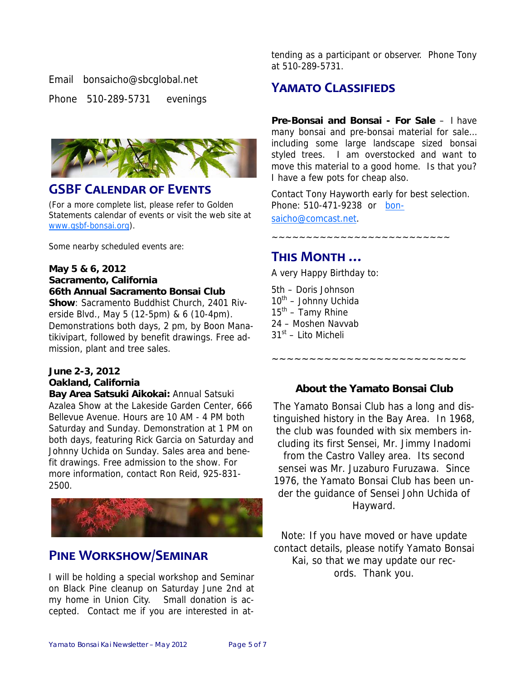#### Email bonsaicho@sbcglobal.net

Phone 510-289-5731 evenings



### **GSBF CALENDAR OF EVENTS**

(For a more complete list, please refer to Golden Statements calendar of events or visit the web site at www.gsbf-bonsai.org).

Some nearby scheduled events are:

#### **May 5 & 6, 2012 Sacramento, California 66th Annual Sacramento Bonsai Club**

**Show**: Sacramento Buddhist Church, 2401 Riverside Blvd., May 5 (12-5pm) & 6 (10-4pm). Demonstrations both days, 2 pm, by Boon Manatikivipart, followed by benefit drawings. Free admission, plant and tree sales.

#### **June 2-3, 2012 Oakland, California**

**Bay Area Satsuki Aikokai:** Annual Satsuki Azalea Show at the Lakeside Garden Center, 666 Bellevue Avenue. Hours are 10 AM - 4 PM both Saturday and Sunday. Demonstration at 1 PM on both days, featuring Rick Garcia on Saturday and Johnny Uchida on Sunday. Sales area and benefit drawings. Free admission to the show. For more information, contact Ron Reid, 925-831- 2500.



# **PINE WORKSHOW/SEMINAR**

I will be holding a special workshop and Seminar on Black Pine cleanup on Saturday June 2nd at my home in Union City. Small donation is accepted. Contact me if you are interested in attending as a participant or observer. Phone Tony at 510-289-5731.

# **YAMATO CLASSIFIEDS**

**Pre-Bonsai and Bonsai - For Sale** – I have many bonsai and pre-bonsai material for sale… including some large landscape sized bonsai styled trees. I am overstocked and want to move this material to a good home. Is that you? I have a few pots for cheap also.

Contact Tony Hayworth early for best selection. Phone: 510-471-9238 or bon-

~~~~~~~~~~~~~~~~~~~~~~~~~~

saicho@comcast.net.

#### **THIS MONTH …**

A very Happy Birthday to:

5th – Doris Johnson  $10^{th}$  – Johnny Uchida  $15<sup>th</sup>$  – Tamy Rhine 24 – Moshen Navvab  $31<sup>st</sup>$  – Lito Micheli

#### **About the Yamato Bonsai Club**

~~~~~~~~~~~~~~~~~

The Yamato Bonsai Club has a long and distinguished history in the Bay Area. In 1968, the club was founded with six members including its first Sensei, Mr. Jimmy Inadomi from the Castro Valley area. Its second sensei was Mr. Juzaburo Furuzawa. Since 1976, the Yamato Bonsai Club has been under the guidance of Sensei John Uchida of Hayward.

Note: If you have moved or have update contact details, please notify Yamato Bonsai Kai, so that we may update our records. Thank you.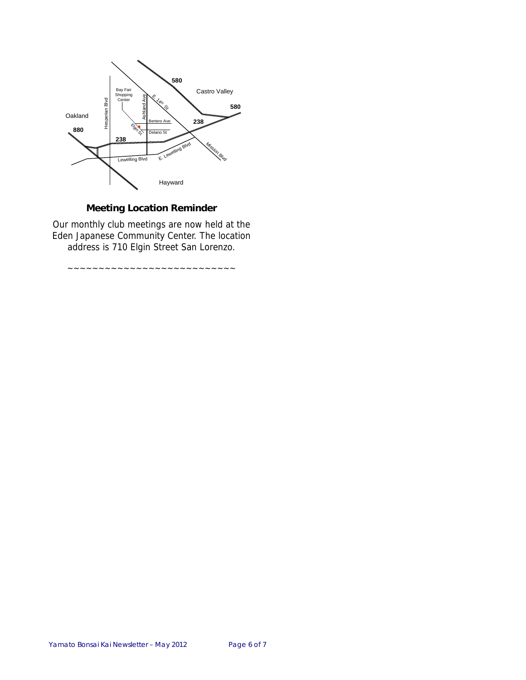

#### **Meeting Location Reminder**

Our monthly club meetings are now held at the Eden Japanese Community Center. The location address is 710 Elgin Street San Lorenzo.

~~~~~~~~~~~~~~~~~~~~~~~~~~~